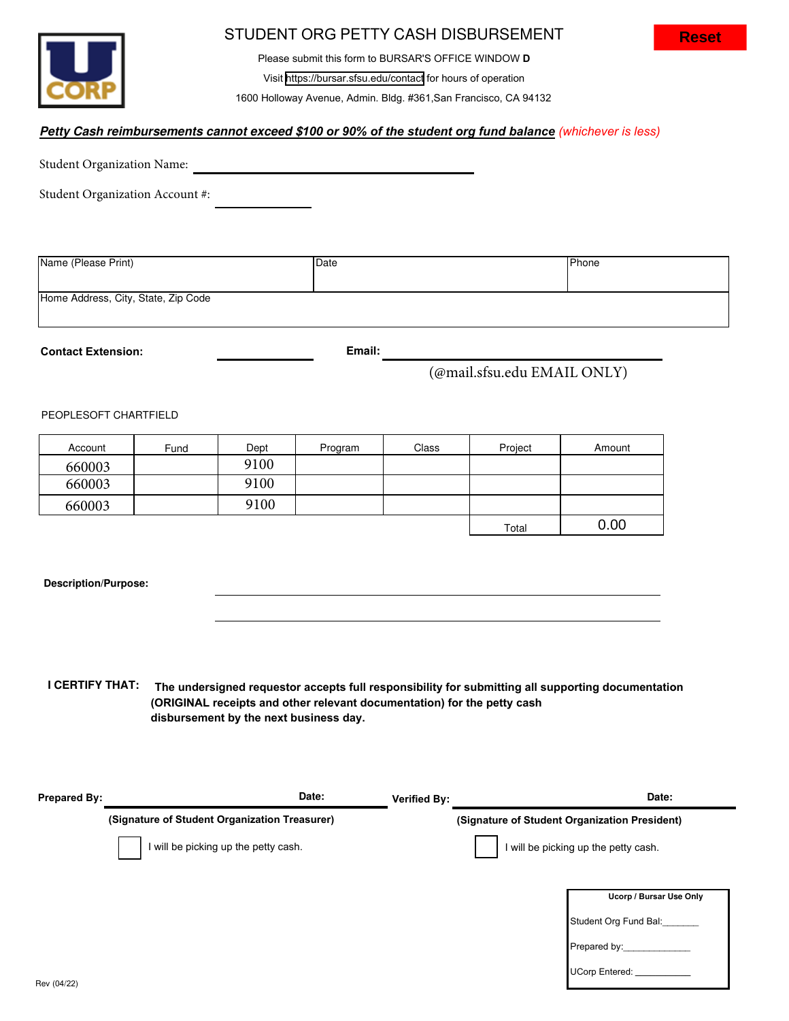

### STUDENT ORG PETTY CASH DISBURSEMENT

Please submit this form to BURSAR'S OFFICE WINDOW **D** Visit <https://bursar.sfsu.edu/contact> for hours of operation

1600 Holloway Avenue, Admin. Bldg. #361,San Francisco, CA 94132

### **Petty Cash reimbursements cannot exceed \$***100 or 90% of the student org fund balance (whichever is less)*

Student Organization Name:

Student Organization Account #:

| Name (Please Print)                 | Date | Phone |
|-------------------------------------|------|-------|
|                                     |      |       |
| Home Address, City, State, Zip Code |      |       |

**Contact Extension: Email:**

## (@mail.sfsu.edu EMAIL ONLY)

#### PEOPLESOFT CHARTFIELD

| Account | Fund | Dept | Program | Class | Project | Amount |
|---------|------|------|---------|-------|---------|--------|
| 660003  |      | 9100 |         |       |         |        |
| 660003  |      | 9100 |         |       |         |        |
| 660003  |      | 9100 |         |       |         |        |
|         |      |      |         |       | Total   | 0.00   |

#### **Description/Purpose:**

**I CERTIFY THAT: The undersigned requestor accepts full responsibility for submitting all supporting documentation (ORIGINAL receipts and other relevant documentation) for the petty cash disbursement by the next business day.** 

| <b>Prepared By:</b> | Date:                                         | <b>Verified By:</b>                           | Date:                   |  |
|---------------------|-----------------------------------------------|-----------------------------------------------|-------------------------|--|
|                     | (Signature of Student Organization Treasurer) | (Signature of Student Organization President) |                         |  |
|                     | I will be picking up the petty cash.          | I will be picking up the petty cash.          |                         |  |
|                     |                                               |                                               | Ucorp / Bursar Use Only |  |
|                     |                                               |                                               | Student Org Fund Bal:   |  |
|                     |                                               |                                               | Prepared by:            |  |
|                     |                                               |                                               | <b>UCorp Entered:</b>   |  |